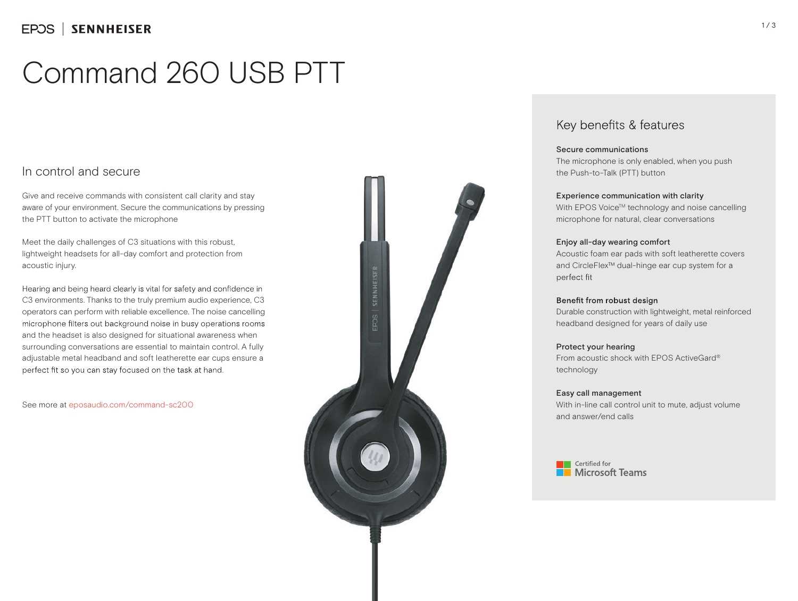# Command 260 USB PTT

### In control and secure

Give and receive commands with consistent call clarity and stay aware of your environment. Secure the communications by pressing the PTT button to activate the microphone

Meet the daily challenges of C3 situations with this robust, lightweight headsets for all-day comfort and protection from acoustic injury.

Hearing and being heard clearly is vital for safety and confidence in C3 environments. Thanks to the truly premium audio experience, C3 operators can perform with reliable excellence. The noise cancelling microphone filters out background noise in busy operations rooms and the headset is also designed for situational awareness when surrounding conversations are essential to maintain control. A fully adjustable metal headband and soft leatherette ear cups ensure a perfect fit so you can stay focused on the task at hand.

See more at eposaudio.com/command-sc200



## Key benefits & features

### Secure communications

The microphone is only enabled, when you push the Push-to-Talk (PTT) button

### Experience communication with clarity

With EPOS Voice™ technology and noise cancelling microphone for natural, clear conversations

### Enjoy all-day wearing comfort

Acoustic foam ear pads with soft leatherette covers and CircleFlex™ dual-hinge ear cup system for a perfect fit

#### Benefit from robust design

Durable construction with lightweight, metal reinforced headband designed for years of daily use

### Protect your hearing

From acoustic shock with EPOS ActiveGard® technology

### Easy call management

With in-line call control unit to mute, adjust volume and answer/end calls

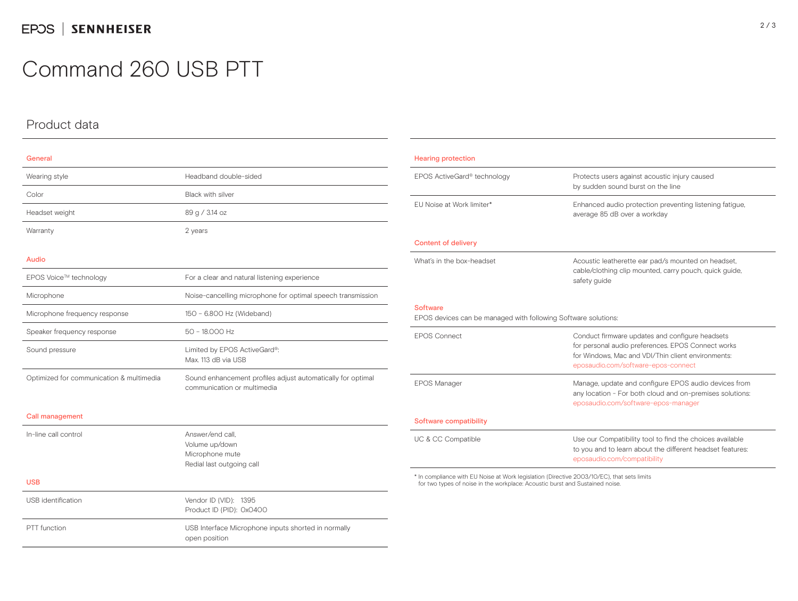## Command 260 USB PTT

## Product data

| . |  |  |
|---|--|--|
|   |  |  |

| Wearing style                            | Headband double-sided                                                                      |  |  |
|------------------------------------------|--------------------------------------------------------------------------------------------|--|--|
| Color                                    | <b>Black with silver</b>                                                                   |  |  |
| Headset weight                           | 89 g / 3.14 oz                                                                             |  |  |
| Warranty                                 | 2 years                                                                                    |  |  |
|                                          |                                                                                            |  |  |
| Audio                                    |                                                                                            |  |  |
| EPOS Voice™ technology                   | For a clear and natural listening experience                                               |  |  |
| Microphone                               | Noise-cancelling microphone for optimal speech transmission                                |  |  |
| Microphone frequency response            | 150 - 6.800 Hz (Wideband)                                                                  |  |  |
| Speaker frequency response               | 50 - 18.000 Hz                                                                             |  |  |
| Sound pressure                           | Limited by EPOS ActiveGard®:<br>Max. 113 dB via USB                                        |  |  |
| Optimized for communication & multimedia | Sound enhancement profiles adjust automatically for optimal<br>communication or multimedia |  |  |
| Call management                          |                                                                                            |  |  |

| In-line call control      | Answer/end call.<br>Volume up/down<br>Microphone mute<br>Redial last outgoing call |  |
|---------------------------|------------------------------------------------------------------------------------|--|
| <b>USB</b>                |                                                                                    |  |
| <b>USB</b> identification | Vendor ID (VID): 1395<br>Product ID (PID): 0x0400                                  |  |
| PTT function              | USB Interface Microphone inputs shorted in normally<br>open position               |  |

| <b>Hearing protection</b>                                                         |                                                                                                                                                                                                    |  |  |  |
|-----------------------------------------------------------------------------------|----------------------------------------------------------------------------------------------------------------------------------------------------------------------------------------------------|--|--|--|
| EPOS ActiveGard® technology                                                       | Protects users against acoustic injury caused<br>by sudden sound burst on the line                                                                                                                 |  |  |  |
| FU Noise at Work limiter*                                                         | Enhanced audio protection preventing listening fatigue,<br>average 85 dB over a workday                                                                                                            |  |  |  |
| <b>Content of delivery</b>                                                        |                                                                                                                                                                                                    |  |  |  |
| What's in the box-headset                                                         | Acoustic leatherette ear pad/s mounted on headset,<br>cable/clothing clip mounted, carry pouch, quick quide,<br>safety guide                                                                       |  |  |  |
| <b>Software</b><br>EPOS devices can be managed with following Software solutions: |                                                                                                                                                                                                    |  |  |  |
| <b>FPOS Connect</b>                                                               | Conduct firmware updates and configure headsets<br>for personal audio preferences. EPOS Connect works<br>for Windows. Mac and VDI/Thin client environments:<br>eposaudio.com/software-epos-connect |  |  |  |
| <b>EPOS Manager</b>                                                               | Manage, update and configure EPOS audio devices from<br>any location - For both cloud and on-premises solutions:<br>eposaudio.com/software-epos-manager                                            |  |  |  |
| Software compatibility                                                            |                                                                                                                                                                                                    |  |  |  |
| UC & CC Compatible                                                                | Use our Compatibility tool to find the choices available<br>to you and to learn about the different headset features:<br>eposaudio.com/compatibility                                               |  |  |  |

\* In compliance with EU Noise at Work legislation (Directive 2003/10/EC), that sets limits for two types of noise in the workplace: Acoustic burst and Sustained noise.